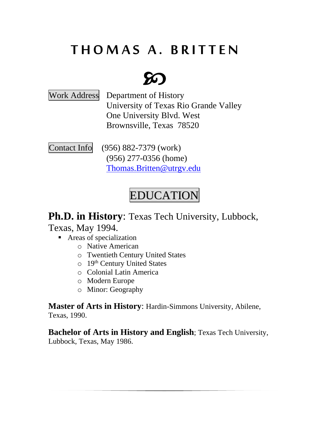# **T H O M A S A . B R I T T E N**

# $\mathcal{D}$

Work Address Department of History University of Texas Rio Grande Valley One University Blvd. West Brownsville, Texas 78520

Contact Info(956) 882-7379 (work) (956) 277-0356 (home) [Thomas.Britten@utrgv.edu](mailto:Thomas.Britten@utrgv.edu)

# EDUCATION

**Ph.D. in History**: Texas Tech University, Lubbock,

Texas, May 1994.

- Areas of specialization
	- o Native American
	- o Twentieth Century United States
	- o 19th Century United States
	- o Colonial Latin America
	- o Modern Europe
	- o Minor: Geography

**Master of Arts in History**: Hardin-Simmons University, Abilene, Texas, 1990.

**Bachelor of Arts in History and English**; Texas Tech University, Lubbock, Texas, May 1986.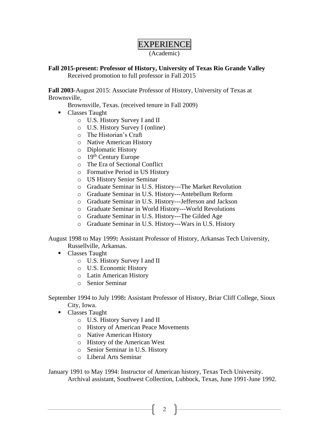# EXPERIENCE

(Academic)

### **Fall 2015-present: Professor of History, University of Texas Rio Grande Valley** Received promotion to full professor in Fall 2015

**Fall 2003**-August 2015: Associate Professor of History, University of Texas at Brownsville,

Brownsville, Texas. (received tenure in Fall 2009)

- Classes Taught
	- o U.S. History Survey I and II
	- o U.S. History Survey I (online)
	- o The Historian's Craft
	- o Native American History
	- o Diplomatic History
	- $\circ$  19<sup>th</sup> Century Europe
	- o The Era of Sectional Conflict
	- o Formative Period in US History
	- o US History Senior Seminar
	- o Graduate Seminar in U.S. History---The Market Revolution
	- o Graduate Seminar in U.S. History---Antebellum Reform
	- o Graduate Seminar in U.S. History---Jefferson and Jackson
	- o Graduate Seminar in World History---World Revolutions
	- o Graduate Seminar in U.S. History---The Gilded Age
	- o Graduate Seminar in U.S. History---Wars in U.S. History

August 1998 to May 1999**:** Assistant Professor of History, Arkansas Tech University, Russellville, Arkansas.

- Classes Taught
	- o U.S. History Survey I and II
	- o U.S. Economic History
	- o Latin American History
	- o Senior Seminar

September 1994 to July 1998**:** Assistant Professor of History, Briar Cliff College, Sioux City, Iowa.

- Classes Taught
	- o U.S. History Survey I and II
	- o History of American Peace Movements
	- o Native American History
	- o History of the American West
	- o Senior Seminar in U.S. History
	- o Liberal Arts Seminar

January 1991 to May 1994: Instructor of American history, Texas Tech University.

Archival assistant, Southwest Collection, Lubbock, Texas, June 1991-June 1992.

2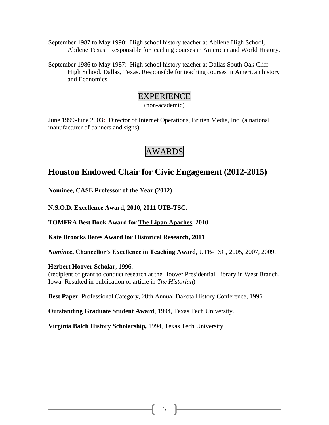September 1987 to May 1990: High school history teacher at Abilene High School, Abilene Texas. Responsible for teaching courses in American and World History.

September 1986 to May 1987: High school history teacher at Dallas South Oak Cliff High School, Dallas, Texas. Responsible for teaching courses in American history and Economics.

# EXPERIENCE

(non-academic)

June 1999-June 2003**:** Director of Internet Operations, Britten Media, Inc. (a national manufacturer of banners and signs).

# AWARDS

# **Houston Endowed Chair for Civic Engagement (2012-2015)**

**Nominee, CASE Professor of the Year (2012)**

**N.S.O.D. Excellence Award, 2010, 2011 UTB-TSC.**

**TOMFRA Best Book Award for The Lipan Apaches, 2010.**

**Kate Broocks Bates Award for Historical Research, 2011**

*Nominee***, Chancellor's Excellence in Teaching Award**, UTB-TSC, 2005, 2007, 2009.

### **Herbert Hoover Scholar**, 1996.

(recipient of grant to conduct research at the Hoover Presidential Library in West Branch, Iowa. Resulted in publication of article in *The Historian*)

**Best Paper**, Professional Category, 28th Annual Dakota History Conference, 1996.

**Outstanding Graduate Student Award**, 1994, Texas Tech University.

**Virginia Balch History Scholarship,** 1994, Texas Tech University.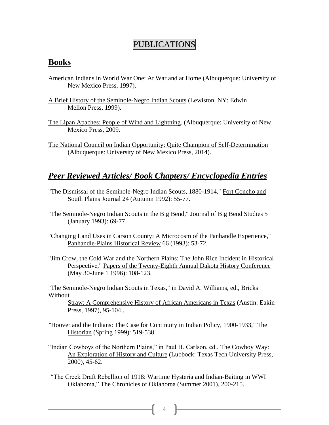## PUBLICATIONS

## **Books**

- American Indians in World War One: At War and at Home (Albuquerque: University of New Mexico Press, 1997).
- A Brief History of the Seminole-Negro Indian Scouts (Lewiston, NY: Edwin Mellon Press, 1999).
- The Lipan Apaches: People of Wind and Lightning. (Albuquerque: University of New Mexico Press, 2009.
- The National Council on Indian Opportunity: Quite Champion of Self-Determination (Albuquerque: University of New Mexico Press, 2014).

## *Peer Reviewed Articles/ Book Chapters/ Encyclopedia Entries*

- "The Dismissal of the Seminole-Negro Indian Scouts, 1880-1914," Fort Concho and South Plains Journal 24 (Autumn 1992): 55-77.
- "The Seminole-Negro Indian Scouts in the Big Bend," Journal of Big Bend Studies 5 (January 1993): 69-77.
- "Changing Land Uses in Carson County: A Microcosm of the Panhandle Experience," Panhandle-Plains Historical Review 66 (1993): 53-72.
- "Jim Crow, the Cold War and the Northern Plains: The John Rice Incident in Historical Perspective," Papers of the Twenty-Eighth Annual Dakota History Conference (May 30-June 1 1996): 108-123.

"The Seminole-Negro Indian Scouts in Texas," in David A. Williams, ed., Bricks Without

Straw: A Comprehensive History of African Americans in Texas (Austin: Eakin Press, 1997), 95-104..

- *"*Hoover and the Indians: The Case for Continuity in Indian Policy, 1900-1933*,"* The Historian (Spring 1999): 519-538.
- "Indian Cowboys of the Northern Plains," in Paul H. Carlson, ed., The Cowboy Way: An Exploration of History and Culture (Lubbock: Texas Tech University Press, 2000), 45-62.
- "The Creek Draft Rebellion of 1918: Wartime Hysteria and Indian-Baiting in WWI Oklahoma," The Chronicles of Oklahoma (Summer 2001), 200-215.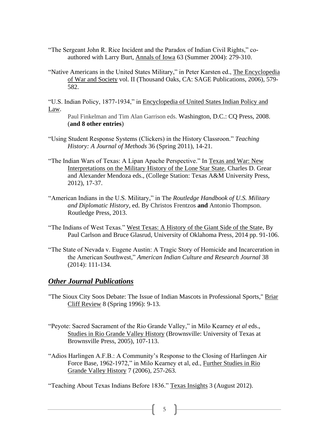- "The Sergeant John R. Rice Incident and the Paradox of Indian Civil Rights," coauthored with Larry Burt, Annals of Iowa 63 (Summer 2004): 279-310.
- "Native Americans in the United States Military," in Peter Karsten ed., The Encyclopedia of War and Society vol. II (Thousand Oaks, CA: SAGE Publications, 2006), 579- 582.

"U.S. Indian Policy, 1877-1934," in Encyclopedia of United States Indian Policy and Law.

Paul Finkelman and Tim Alan Garrison eds. Washington, D.C.: CQ Press, 2008. (**and 8 other entries**)

- "Using Student Response Systems (Clickers) in the History Classroon." *Teaching History: A Journal of Methods* 36 (Spring 2011), 14-21.
- "The Indian Wars of Texas: A Lipan Apache Perspective." In Texas and War: New Interpretations on the Military History of the Lone Star State, Charles D. Grear and Alexander Mendoza eds., (College Station: Texas A&M University Press, 2012), 17-37.
- "American Indians in the U.S. Military," in The *Routledge Handbook of U.S. Military and Diplomatic History,* ed. By [Christos Frentzos](http://www.routledge.com/books/search/author/christos_frentzos/) **and** [Antonio Thompson.](http://www.routledge.com/books/search/author/antonio_thompson/) Routledge Press, 2013.
- "The Indians of West Texas." West Texas: A History of the Giant Side of the State, By Paul Carlson and Bruce Glasrud, University of Oklahoma Press, 2014 pp. 91-106.
- "The State of Nevada v. Eugene Austin: A Tragic Story of Homicide and Incarceration in the American Southwest," *American Indian Culture and Research Journal* 38 (2014): 111-134.

## *Other Journal Publications*

- "The Sioux City Soos Debate: The Issue of Indian Mascots in Professional Sports," Briar Cliff Review 8 (Spring 1996): 9-13.
- "Peyote: Sacred Sacrament of the Rio Grande Valley," in Milo Kearney *et al* eds., Studies in Rio Grande Valley History (Brownsville: University of Texas at Brownsville Press, 2005), 107-113.
- "Adios Harlingen A.F.B.: A Community's Response to the Closing of Harlingen Air Force Base, 1962-1972," in Milo Kearney et al, ed., Further Studies in Rio Grande Valley History 7 (2006), 257-263.

"Teaching About Texas Indians Before 1836." Texas Insights 3 (August 2012).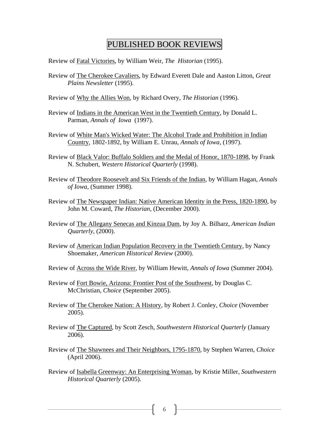## PUBLISHED BOOK REVIEWS

Review of Fatal Victories, by William Weir, *The Historian* (1995).

- Review of The Cherokee Cavaliers, by Edward Everett Dale and Aaston Litton, *Great Plains Newsletter* (1995).
- Review of Why the Allies Won, by Richard Overy, *The Historian* (1996).
- Review of Indians in the American West in the Twentieth Century, by Donald L. Parman, *Annals of Iowa* (1997).
- Review of White Man's Wicked Water: The Alcohol Trade and Prohibition in Indian Country, 1802-1892, by William E. Unrau, *Annals of Iowa*, (1997).
- Review of Black Valor: Buffalo Soldiers and the Medal of Honor, 1870-1898, by Frank N. Schubert, *Western Historical Quarterly* (1998).
- Review of Theodore Roosevelt and Six Friends of the Indian, by William Hagan, *Annals of Iowa*, (Summer 1998).
- Review of The Newspaper Indian: Native American Identity in the Press, 1820-1890, by John M. Coward, *The Historian*, (December 2000).
- Review of The Allegany Senecas and Kinzua Dam, by Joy A. Bilharz, *American Indian Quarterly*, (2000).
- Review of American Indian Population Recovery in the Twentieth Century, by Nancy Shoemaker, *American Historical Review* (2000).
- Review of Across the Wide River, by William Hewitt, *Annals of Iowa* (Summer 2004).
- Review of Fort Bowie, Arizona: Frontier Post of the Southwest, by Douglas C. McChristian, *Choice* (September 2005).
- Review of The Cherokee Nation: A History, by Robert J. Conley, *Choice* (November 2005).
- Review of The Captured, by Scott Zesch, *Southwestern Historical Quarterly* (January 2006).
- Review of The Shawnees and Their Neighbors, 1795-1870, by Stephen Warren, *Choice* (April 2006).
- Review of Isabella Greenway: An Enterprising Woman, by Kristie Miller, *Southwestern Historical Quarterly* (2005).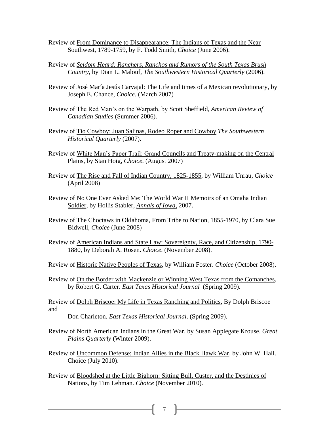- Review of From Dominance to Disappearance: The Indians of Texas and the Near Southwest, 1789-1759, by F. Todd Smith, *Choice* (June 2006).
- Review of *Seldom Heard: Ranchers, Ranchos and Rumors of the South Texas Brush Country*, by Dian L. Malouf, *The Southwestern Historical Quarterly* (2006).
- Review of José María Jesús Carvajal: The Life and times of a Mexican revolutionary, by Joseph E. Chance, *Choice*. (March 2007)
- Review of The Red Man's on the Warpath, by Scott Sheffield, *American Review of Canadian Studies* (Summer 2006).
- Review of Tio Cowboy: Juan Salinas, Rodeo Roper and Cowboy *The Southwestern Historical Quarterly* (2007).
- Review of White Man's Paper Trail: Grand Councils and Treaty-making on the Central Plains, by Stan Hoig, *Choice*. (August 2007)
- Review of The Rise and Fall of Indian Country, 1825-1855, by William Unrau, *Choice* (April 2008)
- Review of No One Ever Asked Me: The World War II Memoirs of an Omaha Indian Soldier, by Hollis Stabler, *Annals of Iowa,* 2007.
- Review of The Choctaws in Oklahoma, From Tribe to Nation, 1855-1970, by Clara Sue Bidwell, *Choice* (June 2008)
- Review of American Indians and State Law: Sovereignty, Race, and Citizenship, 1790- 1880, by Deborah A. Rosen. *Choice*. (November 2008).
- Review of Historic Native Peoples of Texas, by William Foster. *Choice* (October 2008).
- Review of On the Border with Mackenzie or Winning West Texas from the Comanches, by Robert G. Carter. *East Texas Historical Journal* (Spring 2009).

Review of Dolph Briscoe: My Life in Texas Ranching and Politics, By Dolph Briscoe and

Don Charleton. *East Texas Historical Journal*. (Spring 2009).

- Review of North American Indians in the Great War, by Susan Applegate Krouse. *Great Plains Quarterly* (Winter 2009).
- Review of Uncommon Defense: Indian Allies in the Black Hawk War, by John W. Hall. Choice (July 2010).
- Review of Bloodshed at the Little Bighorn: Sitting Bull, Custer, and the Destinies of Nations, by Tim Lehman. *Choice* (November 2010).

7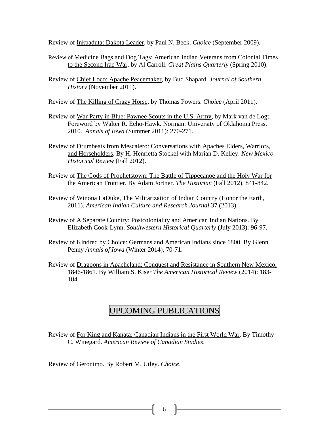Review of Inkpaduta: Dakota Leader, by Paul N. Beck. *Choice* (September 2009).

- Review of Medicine Bags and Dog Tags: American Indian Veterans from Colonial Times to the Second Iraq War, by Al Carroll. *Great Plains Quarterly* (Spring 2010).
- Review of Chief Loco: Apache Peacemaker, by Bud Shapard. *Journal of Southern History* (November 2011).
- Review of The Killing of Crazy Horse, by Thomas Powers. *Choice* (April 2011).
- Review of War Party in Blue: Pawnee Scouts in the U.S. Army, by Mark van de Logt. Foreword by Walter R. Echo-Hawk. Norman: University of Oklahoma Press, 2010. *Annals of Iowa* (Summer 2011): 270-271.
- Review of Drumbeats from Mescalero: Conversations with Apaches Elders, Warriors, and Horseholders. By H. Henrietta Stockel with Marian D. Kelley. *New Mexico Historical Review* (Fall 2012).
- Review of The Gods of Prophetstown: The Battle of Tippecanoe and the Holy War for the American Frontier. By Adam Jortner*. The Historian* (Fall 2012), 841-842.
- Review of Winona LaDuke, The Militarization of Indian Country (Honor the Earth, 2011). *American Indian Culture and Research Journal* 37 (2013).
- Review of A Separate Country: Postcoloniality and American Indian Nations. By Elizabeth Cook-Lynn. *Southwestern Historical Quarterly* (July 2013): 96-97.
- Review of Kindred by Choice: Germans and American Indians since 1800. By Glenn Penny *Annals of Iowa* (Winter 2014), 70-71.
- Review of Dragoons in Apacheland: Conquest and Resistance in Southern New Mexico, 1846-1861*.* By William S. Kiser *The American Historical Review* (2014): 183- 184.

# UPCOMING PUBLICATIONS

Review of For King and Kanata: Canadian Indians in the First World War. By Timothy C. Winegard. *American Review of Canadian Studies*.

Review of Geronimo. By Robert M. Utley. *Choice*.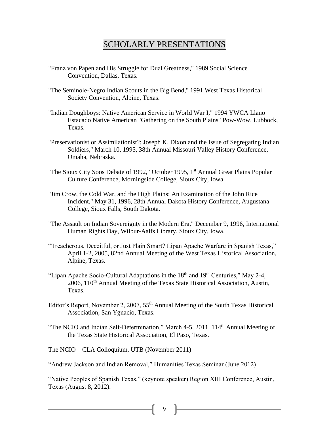## SCHOLARLY PRESENTATIONS

- "Franz von Papen and His Struggle for Dual Greatness," 1989 Social Science Convention, Dallas, Texas.
- "The Seminole-Negro Indian Scouts in the Big Bend," 1991 West Texas Historical Society Convention, Alpine, Texas.
- "Indian Doughboys: Native American Service in World War I," 1994 YWCA Llano Estacado Native American "Gathering on the South Plains" Pow-Wow, Lubbock, Texas.
- "Preservationist or Assimilationist?: Joseph K. Dixon and the Issue of Segregating Indian Soldiers," March 10, 1995, 38th Annual Missouri Valley History Conference, Omaha, Nebraska.
- "The Sioux City Soos Debate of 1992," October 1995, 1<sup>st</sup> Annual Great Plains Popular Culture Conference, Morningside College, Sioux City, Iowa.
- "Jim Crow, the Cold War, and the High Plains: An Examination of the John Rice Incident," May 31, 1996, 28th Annual Dakota History Conference, Augustana College, Sioux Falls, South Dakota.
- "The Assault on Indian Sovereignty in the Modern Era," December 9, 1996, International Human Rights Day, Wilbur-Aalfs Library, Sioux City, Iowa.
- "Treacherous, Deceitful, or Just Plain Smart? Lipan Apache Warfare in Spanish Texas," April 1-2, 2005, 82nd Annual Meeting of the West Texas Historical Association, Alpine, Texas.
- "Lipan Apache Socio-Cultural Adaptations in the  $18<sup>th</sup>$  and  $19<sup>th</sup>$  Centuries," May 2-4,  $2006$ ,  $110<sup>th</sup>$  Annual Meeting of the Texas State Historical Association, Austin, Texas.
- Editor's Report, November 2, 2007,  $55<sup>th</sup>$  Annual Meeting of the South Texas Historical Association, San Ygnacio, Texas.
- "The NCIO and Indian Self-Determination," March 4-5, 2011, 114<sup>th</sup> Annual Meeting of the Texas State Historical Association, El Paso, Texas.

The NCIO—CLA Colloquium, UTB (November 2011)

"Andrew Jackson and Indian Removal," Humanities Texas Seminar (June 2012)

"Native Peoples of Spanish Texas," (keynote speaker) Region XIII Conference, Austin, Texas (August 8, 2012).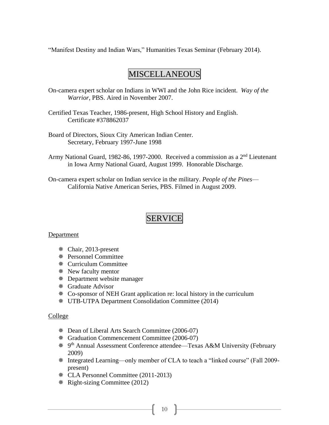"Manifest Destiny and Indian Wars," Humanities Texas Seminar (February 2014).

## MISCELLANEOUS

- On-camera expert scholar on Indians in WWI and the John Rice incident. *Way of the Warrior*, PBS. Aired in November 2007.
- Certified Texas Teacher, 1986-present, High School History and English. Certificate #378862037
- Board of Directors, Sioux City American Indian Center. Secretary, February 1997-June 1998
- Army National Guard, 1982-86, 1997-2000. Received a commission as a 2<sup>nd</sup> Lieutenant in Iowa Army National Guard, August 1999. Honorable Discharge.

On-camera expert scholar on Indian service in the military. *People of the Pines*— California Native American Series, PBS. Filmed in August 2009.

## SERVICE

#### **Department**

- Chair, 2013-present
- Personnel Committee
- Curriculum Committee
- New faculty mentor
- Department website manager
- Graduate Advisor
- Co-sponsor of NEH Grant application re: local history in the curriculum
- UTB-UTPA Department Consolidation Committee (2014)

#### College

- Dean of Liberal Arts Search Committee (2006-07)
- Graduation Commencement Committee (2006-07)
- 9 th Annual Assessment Conference attendee—Texas A&M University (February 2009)
- Integrated Learning—only member of CLA to teach a "linked course" (Fall 2009 present)
- CLA Personnel Committee (2011-2013)
- Right-sizing Committee (2012)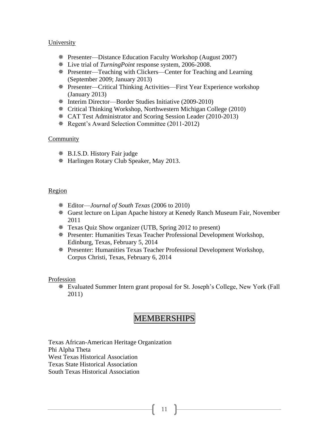### **University**

- Presenter—Distance Education Faculty Workshop (August 2007)
- Live trial of *TurningPoint* response system, 2006-2008.
- Presenter—Teaching with Clickers—Center for Teaching and Learning (September 2009; January 2013)
- Presenter—Critical Thinking Activities—First Year Experience workshop (January 2013)
- Interim Director—Border Studies Initiative (2009-2010)
- Critical Thinking Workshop, Northwestern Michigan College (2010)
- CAT Test Administrator and Scoring Session Leader (2010-2013)
- Regent's Award Selection Committee (2011-2012)

### **Community**

- B.I.S.D. History Fair judge
- Harlingen Rotary Club Speaker, May 2013.

#### Region

- Editor—*Journal of South Texas* (2006 to 2010)
- Guest lecture on Lipan Apache history at Kenedy Ranch Museum Fair, November 2011
- Texas Quiz Show organizer (UTB, Spring 2012 to present)
- Presenter: Humanities Texas Teacher Professional Development Workshop, Edinburg, Texas, February 5, 2014
- Presenter: Humanities Texas Teacher Professional Development Workshop, Corpus Christi, Texas, February 6, 2014

#### Profession

 Evaluated Summer Intern grant proposal for St. Joseph's College, New York (Fall 2011)

## MEMBERSHIPS

11

Texas African-American Heritage Organization Phi Alpha Theta West Texas Historical Association Texas State Historical Association South Texas Historical Association